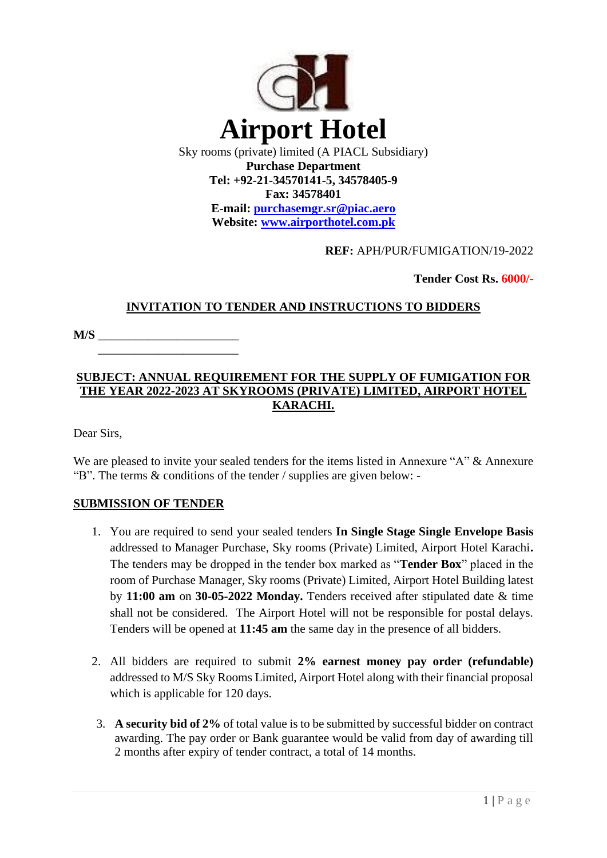

**E-mail: [purchasemgr.sr@piac.aero](mailto:purchasemgr.sr@piac.aero) Website: www.airporthotel.com.pk**

## **REF:** APH/PUR/FUMIGATION/19-2022

 **Tender Cost Rs. 6000/-**

## **INVITATION TO TENDER AND INSTRUCTIONS TO BIDDERS**

**M/S** \_\_\_\_\_\_\_\_\_\_\_\_\_\_\_\_\_\_\_\_\_\_\_

# **SUBJECT: ANNUAL REQUIREMENT FOR THE SUPPLY OF FUMIGATION FOR THE YEAR 2022-2023 AT SKYROOMS (PRIVATE) LIMITED, AIRPORT HOTEL KARACHI.**

Dear Sirs,

We are pleased to invite your sealed tenders for the items listed in Annexure "A" & Annexure "B". The terms & conditions of the tender / supplies are given below: -

# **SUBMISSION OF TENDER**

 $\overline{\phantom{a}}$  ,  $\overline{\phantom{a}}$  ,  $\overline{\phantom{a}}$  ,  $\overline{\phantom{a}}$  ,  $\overline{\phantom{a}}$  ,  $\overline{\phantom{a}}$  ,  $\overline{\phantom{a}}$  ,  $\overline{\phantom{a}}$  ,  $\overline{\phantom{a}}$  ,  $\overline{\phantom{a}}$  ,  $\overline{\phantom{a}}$  ,  $\overline{\phantom{a}}$  ,  $\overline{\phantom{a}}$  ,  $\overline{\phantom{a}}$  ,  $\overline{\phantom{a}}$  ,  $\overline{\phantom{a}}$ 

- 1. You are required to send your sealed tenders **In Single Stage Single Envelope Basis**  addressed to Manager Purchase, Sky rooms (Private) Limited, Airport Hotel Karachi**.**  The tenders may be dropped in the tender box marked as "**Tender Box**" placed in the room of Purchase Manager, Sky rooms (Private) Limited, Airport Hotel Building latest by **11:00 am** on **30-05-2022 Monday.** Tenders received after stipulated date & time shall not be considered. The Airport Hotel will not be responsible for postal delays. Tenders will be opened at **11:45 am** the same day in the presence of all bidders.
- 2. All bidders are required to submit **2% earnest money pay order (refundable)**  addressed to M/S Sky Rooms Limited, Airport Hotel along with their financial proposal which is applicable for 120 days.
- 3. **A security bid of 2%** of total value is to be submitted by successful bidder on contract awarding. The pay order or Bank guarantee would be valid from day of awarding till 2 months after expiry of tender contract, a total of 14 months.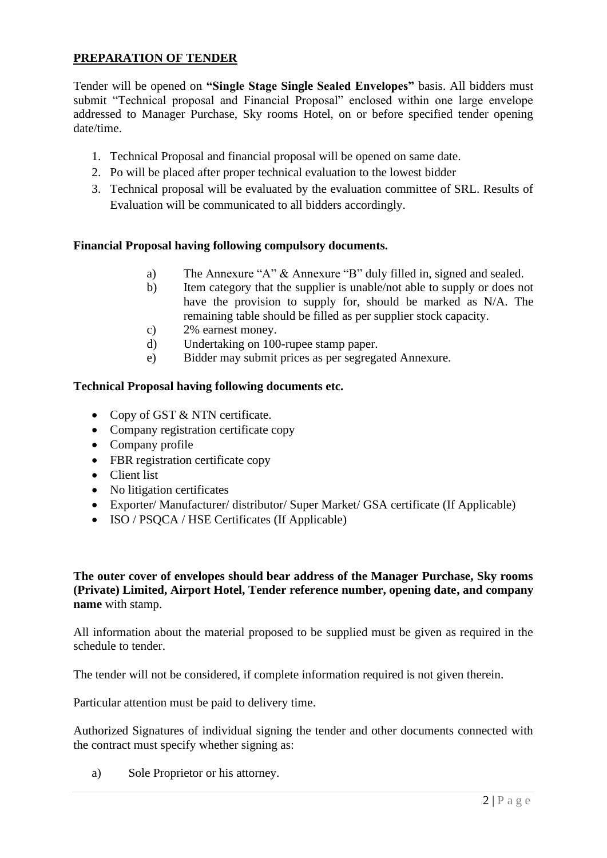# **PREPARATION OF TENDER**

Tender will be opened on **"Single Stage Single Sealed Envelopes"** basis. All bidders must submit "Technical proposal and Financial Proposal" enclosed within one large envelope addressed to Manager Purchase, Sky rooms Hotel, on or before specified tender opening date/time.

- 1. Technical Proposal and financial proposal will be opened on same date.
- 2. Po will be placed after proper technical evaluation to the lowest bidder
- 3. Technical proposal will be evaluated by the evaluation committee of SRL. Results of Evaluation will be communicated to all bidders accordingly.

## **Financial Proposal having following compulsory documents.**

- a) The Annexure "A" & Annexure "B" duly filled in, signed and sealed.
- b) Item category that the supplier is unable/not able to supply or does not have the provision to supply for, should be marked as N/A. The remaining table should be filled as per supplier stock capacity.
- c) 2% earnest money.
- d) Undertaking on 100-rupee stamp paper.
- e) Bidder may submit prices as per segregated Annexure.

#### **Technical Proposal having following documents etc.**

- Copy of GST & NTN certificate.
- Company registration certificate copy
- Company profile
- FBR registration certificate copy
- Client list
- No litigation certificates
- Exporter/ Manufacturer/ distributor/ Super Market/ GSA certificate (If Applicable)
- ISO / PSOCA / HSE Certificates (If Applicable)

#### **The outer cover of envelopes should bear address of the Manager Purchase, Sky rooms (Private) Limited, Airport Hotel, Tender reference number, opening date, and company name** with stamp.

All information about the material proposed to be supplied must be given as required in the schedule to tender.

The tender will not be considered, if complete information required is not given therein.

Particular attention must be paid to delivery time.

Authorized Signatures of individual signing the tender and other documents connected with the contract must specify whether signing as:

a) Sole Proprietor or his attorney.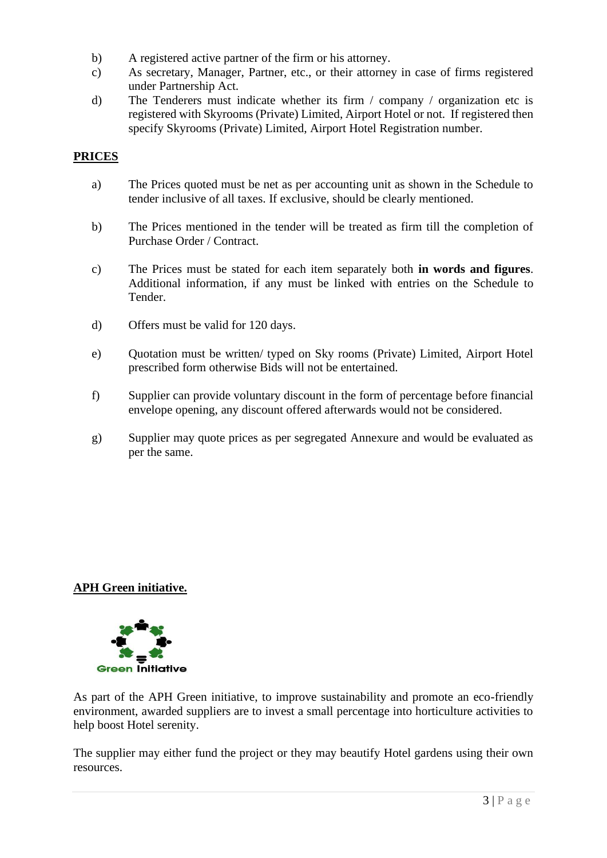- b) A registered active partner of the firm or his attorney.
- c) As secretary, Manager, Partner, etc., or their attorney in case of firms registered under Partnership Act.
- d) The Tenderers must indicate whether its firm / company / organization etc is registered with Skyrooms (Private) Limited, Airport Hotel or not. If registered then specify Skyrooms (Private) Limited, Airport Hotel Registration number.

## **PRICES**

- a) The Prices quoted must be net as per accounting unit as shown in the Schedule to tender inclusive of all taxes. If exclusive, should be clearly mentioned.
- b) The Prices mentioned in the tender will be treated as firm till the completion of Purchase Order / Contract.
- c) The Prices must be stated for each item separately both **in words and figures**. Additional information, if any must be linked with entries on the Schedule to Tender.
- d) Offers must be valid for 120 days.
- e) Quotation must be written/ typed on Sky rooms (Private) Limited, Airport Hotel prescribed form otherwise Bids will not be entertained.
- f) Supplier can provide voluntary discount in the form of percentage before financial envelope opening, any discount offered afterwards would not be considered.
- g) Supplier may quote prices as per segregated Annexure and would be evaluated as per the same.

## **APH Green initiative.**



As part of the APH Green initiative, to improve sustainability and promote an eco-friendly environment, awarded suppliers are to invest a small percentage into horticulture activities to help boost Hotel serenity.

The supplier may either fund the project or they may beautify Hotel gardens using their own resources.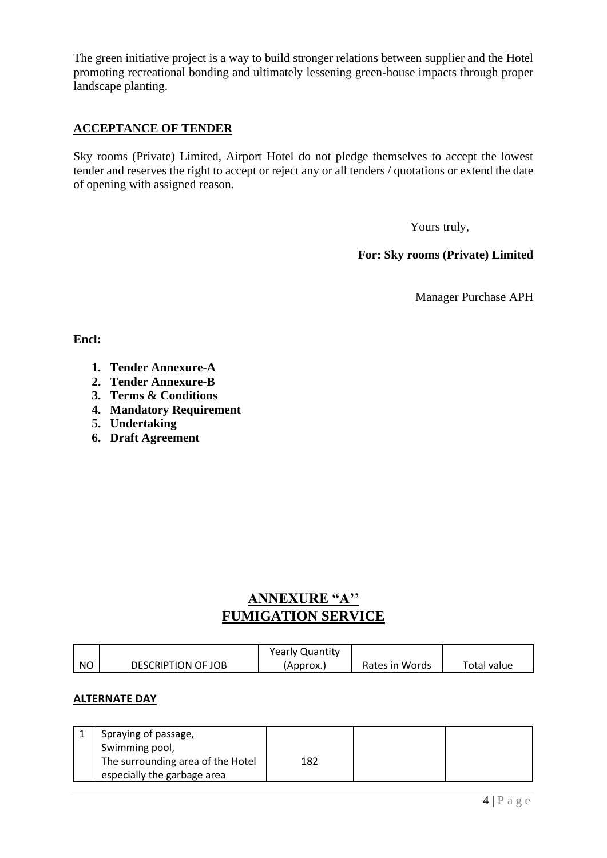The green initiative project is a way to build stronger relations between supplier and the Hotel promoting recreational bonding and ultimately lessening green-house impacts through proper landscape planting.

## **ACCEPTANCE OF TENDER**

Sky rooms (Private) Limited, Airport Hotel do not pledge themselves to accept the lowest tender and reserves the right to accept or reject any or all tenders / quotations or extend the date of opening with assigned reason.

Yours truly,

**For: Sky rooms (Private) Limited**

Manager Purchase APH

**Encl:** 

- **1. Tender Annexure-A**
- **2. Tender Annexure-B**
- **3. Terms & Conditions**
- **4. Mandatory Requirement**
- **5. Undertaking**
- **6. Draft Agreement**

# **ANNEXURE "A'' FUMIGATION SERVICE**

|           |                           | <b>Yearly Quantity</b> |                |             |
|-----------|---------------------------|------------------------|----------------|-------------|
| <b>NO</b> | <b>DESCRIPTION OF JOB</b> | (Approx.)              | Rates in Words | Total value |

#### **ALTERNATE DAY**

| Spraying of passage,              |     |  |
|-----------------------------------|-----|--|
| Swimming pool,                    |     |  |
| The surrounding area of the Hotel | 182 |  |
| especially the garbage area       |     |  |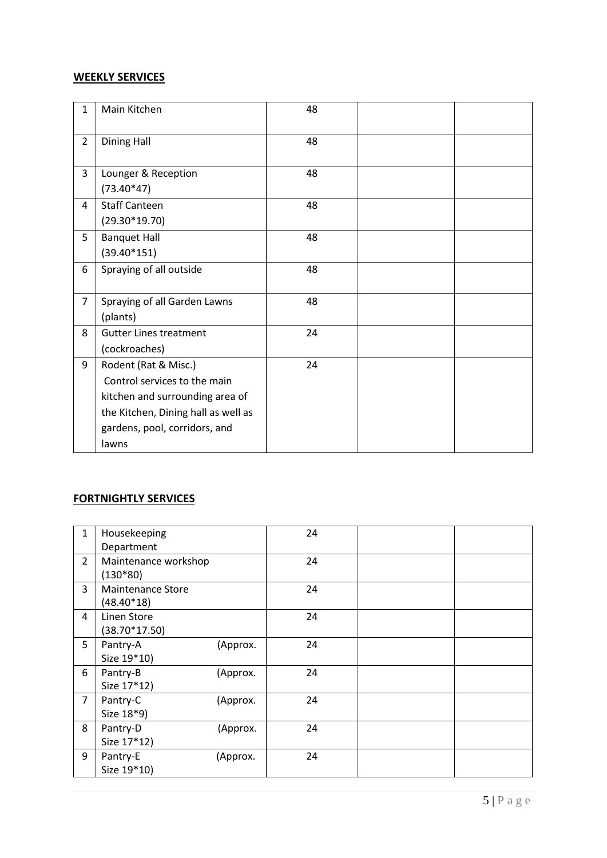# **WEEKLY SERVICES**

| 1              | Main Kitchen                        | 48 |  |
|----------------|-------------------------------------|----|--|
| $\overline{2}$ | <b>Dining Hall</b>                  | 48 |  |
| 3              | Lounger & Reception                 | 48 |  |
|                | $(73.40*47)$                        |    |  |
| 4              | <b>Staff Canteen</b>                | 48 |  |
|                | $(29.30*19.70)$                     |    |  |
| 5              | <b>Banquet Hall</b>                 | 48 |  |
|                | $(39.40*151)$                       |    |  |
| 6              | Spraying of all outside             | 48 |  |
| $\overline{7}$ | Spraying of all Garden Lawns        | 48 |  |
|                | (plants)                            |    |  |
|                |                                     |    |  |
| 8              | <b>Gutter Lines treatment</b>       | 24 |  |
|                | (cockroaches)                       |    |  |
| 9              | Rodent (Rat & Misc.)                | 24 |  |
|                | Control services to the main        |    |  |
|                | kitchen and surrounding area of     |    |  |
|                | the Kitchen, Dining hall as well as |    |  |
|                | gardens, pool, corridors, and       |    |  |
|                | lawns                               |    |  |

# **FORTNIGHTLY SERVICES**

| $\mathbf{1}$   | Housekeeping             |          | 24 |  |
|----------------|--------------------------|----------|----|--|
|                | Department               |          |    |  |
| $\overline{2}$ | Maintenance workshop     |          | 24 |  |
|                | $(130*80)$               |          |    |  |
| 3              | <b>Maintenance Store</b> |          | 24 |  |
|                | $(48.40*18)$             |          |    |  |
| $\overline{4}$ | Linen Store              |          | 24 |  |
|                | $(38.70*17.50)$          |          |    |  |
| 5              | Pantry-A                 | (Approx. | 24 |  |
|                | Size 19*10)              |          |    |  |
| 6              | Pantry-B                 | (Approx. | 24 |  |
|                | Size 17*12)              |          |    |  |
| $\overline{7}$ | Pantry-C                 | (Approx. | 24 |  |
|                | Size 18*9)               |          |    |  |
| 8              | Pantry-D                 | (Approx. | 24 |  |
|                | Size 17*12)              |          |    |  |
| 9              | Pantry-E                 | (Approx. | 24 |  |
|                | Size 19*10)              |          |    |  |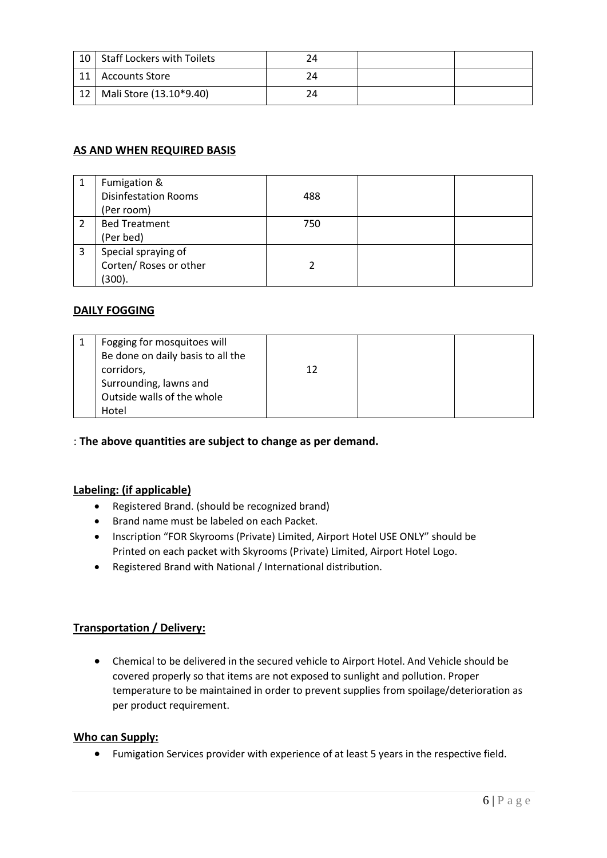| 10 <sup>1</sup> | <b>Staff Lockers with Toilets</b> |  |  |
|-----------------|-----------------------------------|--|--|
| 11              | <b>Accounts Store</b>             |  |  |
| 12 <sub>1</sub> | Mali Store (13.10*9.40)           |  |  |

## **AS AND WHEN REQUIRED BASIS**

|   | Fumigation &<br><b>Disinfestation Rooms</b><br>(Per room) | 488 |  |
|---|-----------------------------------------------------------|-----|--|
|   | <b>Bed Treatment</b><br>(Per bed)                         | 750 |  |
| 3 | Special spraying of<br>Corten/ Roses or other<br>(300).   |     |  |

## **DAILY FOGGING**

| Fogging for mosquitoes will<br>Be done on daily basis to all the<br>corridors, | 12 |  |
|--------------------------------------------------------------------------------|----|--|
|                                                                                |    |  |
| Surrounding, lawns and                                                         |    |  |
| Outside walls of the whole                                                     |    |  |
| Hotel                                                                          |    |  |

## : **The above quantities are subject to change as per demand.**

#### **Labeling: (if applicable)**

- Registered Brand. (should be recognized brand)
- Brand name must be labeled on each Packet.
- Inscription "FOR Skyrooms (Private) Limited, Airport Hotel USE ONLY" should be Printed on each packet with Skyrooms (Private) Limited, Airport Hotel Logo.
- Registered Brand with National / International distribution.

## **Transportation / Delivery:**

• Chemical to be delivered in the secured vehicle to Airport Hotel. And Vehicle should be covered properly so that items are not exposed to sunlight and pollution. Proper temperature to be maintained in order to prevent supplies from spoilage/deterioration as per product requirement.

#### **Who can Supply:**

• Fumigation Services provider with experience of at least 5 years in the respective field.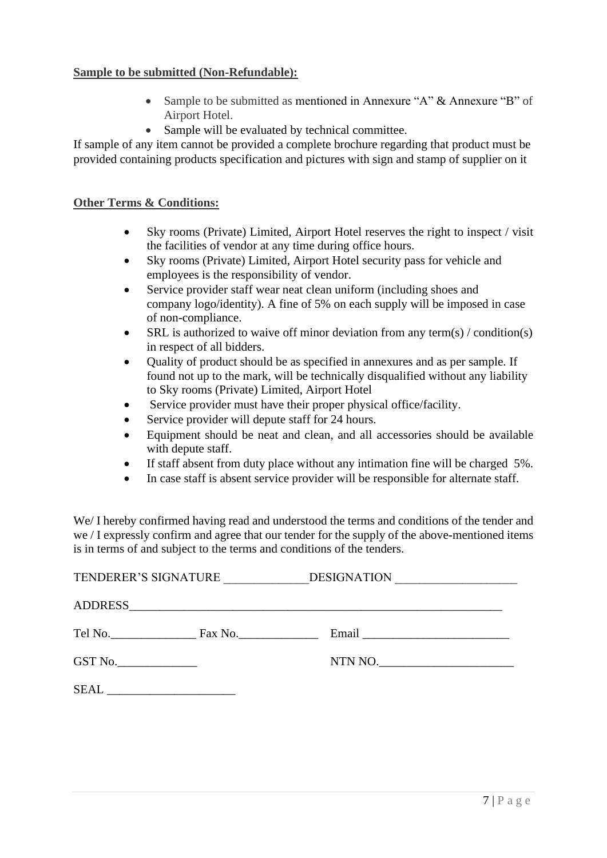#### **Sample to be submitted (Non-Refundable):**

- Sample to be submitted as mentioned in Annexure "A" & Annexure "B" of Airport Hotel.
- Sample will be evaluated by technical committee.

If sample of any item cannot be provided a complete brochure regarding that product must be provided containing products specification and pictures with sign and stamp of supplier on it

#### **Other Terms & Conditions:**

- Sky rooms (Private) Limited, Airport Hotel reserves the right to inspect / visit the facilities of vendor at any time during office hours.
- Sky rooms (Private) Limited, Airport Hotel security pass for vehicle and employees is the responsibility of vendor.
- Service provider staff wear neat clean uniform (including shoes and company logo/identity). A fine of 5% on each supply will be imposed in case of non-compliance.
- SRL is authorized to waive off minor deviation from any term(s) / condition(s) in respect of all bidders.
- Quality of product should be as specified in annexures and as per sample. If found not up to the mark, will be technically disqualified without any liability to Sky rooms (Private) Limited, Airport Hotel
- Service provider must have their proper physical office/facility.
- Service provider will depute staff for 24 hours.
- Equipment should be neat and clean, and all accessories should be available with depute staff.
- If staff absent from duty place without any intimation fine will be charged 5%.
- In case staff is absent service provider will be responsible for alternate staff.

We/ I hereby confirmed having read and understood the terms and conditions of the tender and we / I expressly confirm and agree that our tender for the supply of the above-mentioned items is in terms of and subject to the terms and conditions of the tenders.

| TENDERER'S SIGNATURE |                 | <b>DESIGNATION</b> |
|----------------------|-----------------|--------------------|
|                      |                 |                    |
|                      | Tel No. Fax No. |                    |
|                      |                 | NTN NO.            |
|                      |                 |                    |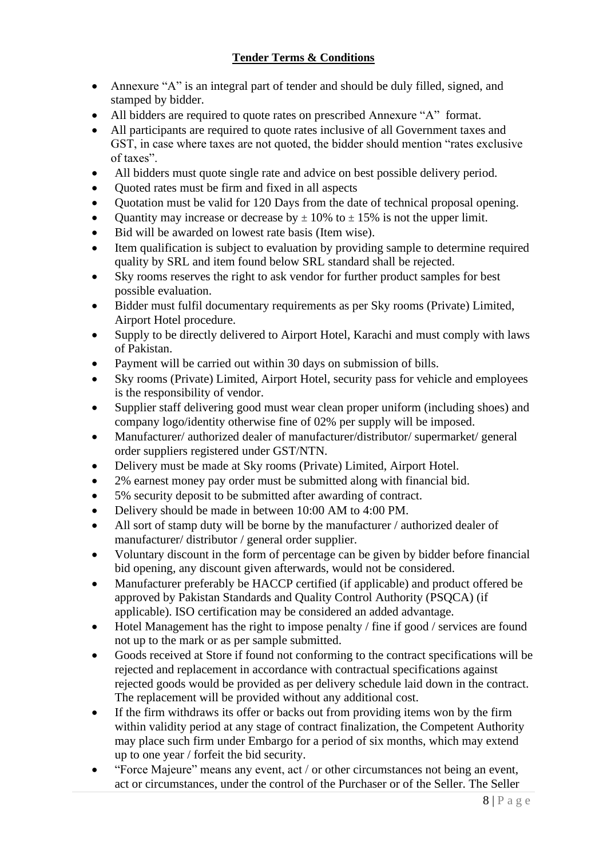- Annexure "A" is an integral part of tender and should be duly filled, signed, and stamped by bidder.
- All bidders are required to quote rates on prescribed Annexure "A" format.
- All participants are required to quote rates inclusive of all Government taxes and GST, in case where taxes are not quoted, the bidder should mention "rates exclusive of taxes".
- All bidders must quote single rate and advice on best possible delivery period.
- Quoted rates must be firm and fixed in all aspects
- Quotation must be valid for 120 Days from the date of technical proposal opening.
- Quantity may increase or decrease by  $\pm 10\%$  to  $\pm 15\%$  is not the upper limit.
- Bid will be awarded on lowest rate basis (Item wise).
- Item qualification is subject to evaluation by providing sample to determine required quality by SRL and item found below SRL standard shall be rejected.
- Sky rooms reserves the right to ask vendor for further product samples for best possible evaluation.
- Bidder must fulfil documentary requirements as per Sky rooms (Private) Limited, Airport Hotel procedure.
- Supply to be directly delivered to Airport Hotel, Karachi and must comply with laws of Pakistan.
- Payment will be carried out within 30 days on submission of bills.
- Sky rooms (Private) Limited, Airport Hotel, security pass for vehicle and employees is the responsibility of vendor.
- Supplier staff delivering good must wear clean proper uniform (including shoes) and company logo/identity otherwise fine of 02% per supply will be imposed.
- Manufacturer/ authorized dealer of manufacturer/distributor/ supermarket/ general order suppliers registered under GST/NTN.
- Delivery must be made at Sky rooms (Private) Limited, Airport Hotel.
- 2% earnest money pay order must be submitted along with financial bid.
- 5% security deposit to be submitted after awarding of contract.
- Delivery should be made in between 10:00 AM to 4:00 PM.
- All sort of stamp duty will be borne by the manufacturer / authorized dealer of manufacturer/ distributor / general order supplier.
- Voluntary discount in the form of percentage can be given by bidder before financial bid opening, any discount given afterwards, would not be considered.
- Manufacturer preferably be HACCP certified (if applicable) and product offered be approved by Pakistan Standards and Quality Control Authority (PSQCA) (if applicable). ISO certification may be considered an added advantage.
- Hotel Management has the right to impose penalty / fine if good / services are found not up to the mark or as per sample submitted.
- Goods received at Store if found not conforming to the contract specifications will be rejected and replacement in accordance with contractual specifications against rejected goods would be provided as per delivery schedule laid down in the contract. The replacement will be provided without any additional cost.
- If the firm withdraws its offer or backs out from providing items won by the firm within validity period at any stage of contract finalization, the Competent Authority may place such firm under Embargo for a period of six months, which may extend up to one year / forfeit the bid security.
- "Force Majeure" means any event, act / or other circumstances not being an event, act or circumstances, under the control of the Purchaser or of the Seller. The Seller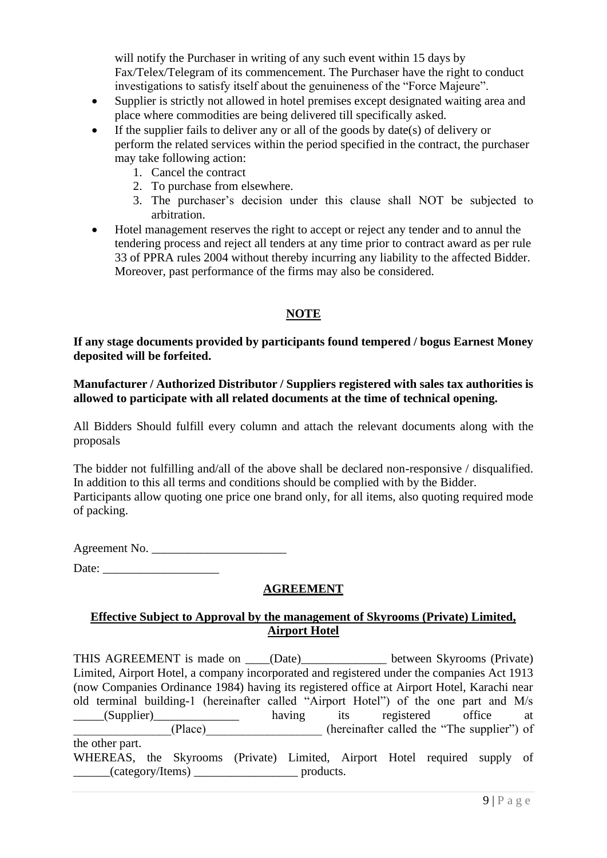will notify the Purchaser in writing of any such event within 15 days by Fax/Telex/Telegram of its commencement. The Purchaser have the right to conduct investigations to satisfy itself about the genuineness of the "Force Majeure".

- Supplier is strictly not allowed in hotel premises except designated waiting area and place where commodities are being delivered till specifically asked.
- If the supplier fails to deliver any or all of the goods by date(s) of delivery or perform the related services within the period specified in the contract, the purchaser may take following action:
	- 1. Cancel the contract
	- 2. To purchase from elsewhere.
	- 3. The purchaser's decision under this clause shall NOT be subjected to arbitration.
- Hotel management reserves the right to accept or reject any tender and to annul the tendering process and reject all tenders at any time prior to contract award as per rule 33 of PPRA rules 2004 without thereby incurring any liability to the affected Bidder. Moreover, past performance of the firms may also be considered.

## **NOTE**

#### **If any stage documents provided by participants found tempered / bogus Earnest Money deposited will be forfeited.**

**Manufacturer / Authorized Distributor / Suppliers registered with sales tax authorities is allowed to participate with all related documents at the time of technical opening.**

All Bidders Should fulfill every column and attach the relevant documents along with the proposals

The bidder not fulfilling and/all of the above shall be declared non-responsive / disqualified. In addition to this all terms and conditions should be complied with by the Bidder. Participants allow quoting one price one brand only, for all items, also quoting required mode of packing.

Agreement No.

Date: \_\_\_\_\_\_\_\_\_\_\_\_\_\_\_\_\_\_\_

# **AGREEMENT**

## **Effective Subject to Approval by the management of Skyrooms (Private) Limited, Airport Hotel**

THIS AGREEMENT is made on \_\_\_\_(Date)\_\_\_\_\_\_\_\_\_\_\_\_\_\_ between Skyrooms (Private) Limited, Airport Hotel, a company incorporated and registered under the companies Act 1913 (now Companies Ordinance 1984) having its registered office at Airport Hotel, Karachi near old terminal building-1 (hereinafter called "Airport Hotel") of the one part and M/s \_\_\_\_\_(Supplier)\_\_\_\_\_\_\_\_\_\_\_\_\_\_ having its registered office at \_\_\_\_\_\_\_\_\_\_\_\_\_\_\_\_(Place)\_\_\_\_\_\_\_\_\_\_\_\_\_\_\_\_\_\_\_ (hereinafter called the "The supplier") of the other part. WHEREAS, the Skyrooms (Private) Limited, Airport Hotel required supply of \_\_\_\_\_\_(category/Items) \_\_\_\_\_\_\_\_\_\_\_\_\_\_\_\_\_ products.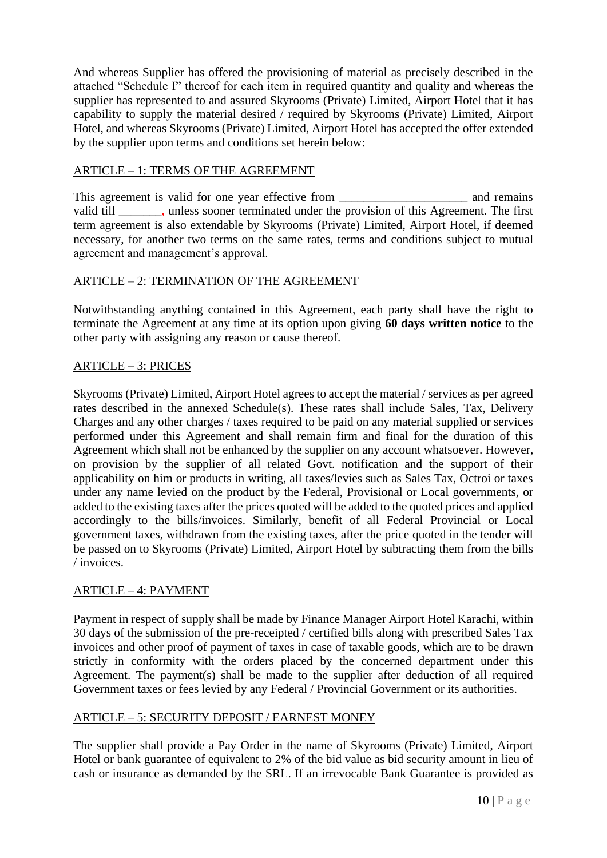And whereas Supplier has offered the provisioning of material as precisely described in the attached "Schedule I" thereof for each item in required quantity and quality and whereas the supplier has represented to and assured Skyrooms (Private) Limited, Airport Hotel that it has capability to supply the material desired / required by Skyrooms (Private) Limited, Airport Hotel, and whereas Skyrooms (Private) Limited, Airport Hotel has accepted the offer extended by the supplier upon terms and conditions set herein below:

## ARTICLE – 1: TERMS OF THE AGREEMENT

This agreement is valid for one year effective from \_\_\_\_\_\_\_\_\_\_\_\_\_\_\_\_\_\_\_\_\_\_\_\_\_\_\_ and remains valid till \_\_\_\_\_\_\_, unless sooner terminated under the provision of this Agreement. The first term agreement is also extendable by Skyrooms (Private) Limited, Airport Hotel, if deemed necessary, for another two terms on the same rates, terms and conditions subject to mutual agreement and management's approval.

## ARTICLE – 2: TERMINATION OF THE AGREEMENT

Notwithstanding anything contained in this Agreement, each party shall have the right to terminate the Agreement at any time at its option upon giving **60 days written notice** to the other party with assigning any reason or cause thereof.

## ARTICLE – 3: PRICES

Skyrooms (Private) Limited, Airport Hotel agrees to accept the material / services as per agreed rates described in the annexed Schedule(s). These rates shall include Sales, Tax, Delivery Charges and any other charges / taxes required to be paid on any material supplied or services performed under this Agreement and shall remain firm and final for the duration of this Agreement which shall not be enhanced by the supplier on any account whatsoever. However, on provision by the supplier of all related Govt. notification and the support of their applicability on him or products in writing, all taxes/levies such as Sales Tax, Octroi or taxes under any name levied on the product by the Federal, Provisional or Local governments, or added to the existing taxes after the prices quoted will be added to the quoted prices and applied accordingly to the bills/invoices. Similarly, benefit of all Federal Provincial or Local government taxes, withdrawn from the existing taxes, after the price quoted in the tender will be passed on to Skyrooms (Private) Limited, Airport Hotel by subtracting them from the bills / invoices.

## ARTICLE – 4: PAYMENT

Payment in respect of supply shall be made by Finance Manager Airport Hotel Karachi, within 30 days of the submission of the pre-receipted / certified bills along with prescribed Sales Tax invoices and other proof of payment of taxes in case of taxable goods, which are to be drawn strictly in conformity with the orders placed by the concerned department under this Agreement. The payment(s) shall be made to the supplier after deduction of all required Government taxes or fees levied by any Federal / Provincial Government or its authorities.

# ARTICLE – 5: SECURITY DEPOSIT / EARNEST MONEY

The supplier shall provide a Pay Order in the name of Skyrooms (Private) Limited, Airport Hotel or bank guarantee of equivalent to 2% of the bid value as bid security amount in lieu of cash or insurance as demanded by the SRL. If an irrevocable Bank Guarantee is provided as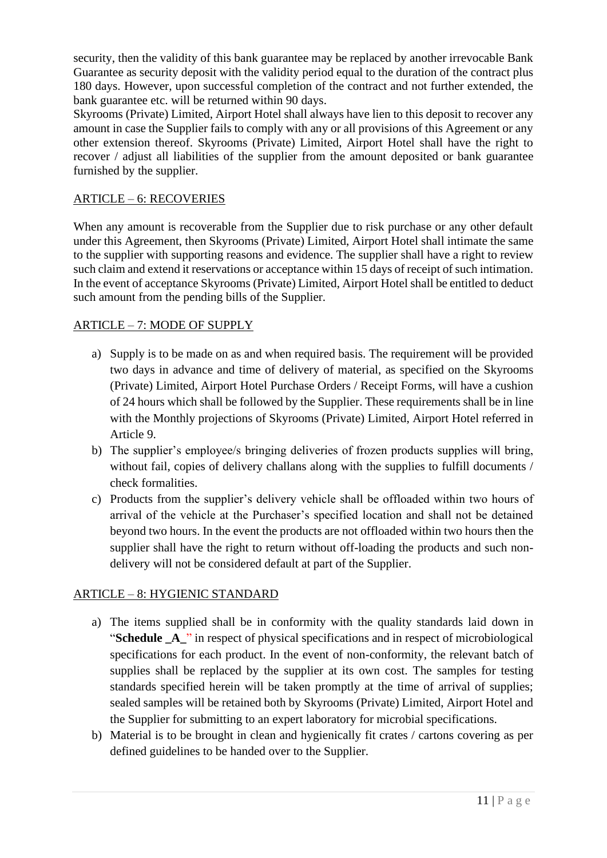security, then the validity of this bank guarantee may be replaced by another irrevocable Bank Guarantee as security deposit with the validity period equal to the duration of the contract plus 180 days. However, upon successful completion of the contract and not further extended, the bank guarantee etc. will be returned within 90 days.

Skyrooms (Private) Limited, Airport Hotel shall always have lien to this deposit to recover any amount in case the Supplier fails to comply with any or all provisions of this Agreement or any other extension thereof. Skyrooms (Private) Limited, Airport Hotel shall have the right to recover / adjust all liabilities of the supplier from the amount deposited or bank guarantee furnished by the supplier.

## ARTICLE – 6: RECOVERIES

When any amount is recoverable from the Supplier due to risk purchase or any other default under this Agreement, then Skyrooms (Private) Limited, Airport Hotel shall intimate the same to the supplier with supporting reasons and evidence. The supplier shall have a right to review such claim and extend it reservations or acceptance within 15 days of receipt of such intimation. In the event of acceptance Skyrooms (Private) Limited, Airport Hotel shall be entitled to deduct such amount from the pending bills of the Supplier.

## ARTICLE – 7: MODE OF SUPPLY

- a) Supply is to be made on as and when required basis. The requirement will be provided two days in advance and time of delivery of material, as specified on the Skyrooms (Private) Limited, Airport Hotel Purchase Orders / Receipt Forms, will have a cushion of 24 hours which shall be followed by the Supplier. These requirements shall be in line with the Monthly projections of Skyrooms (Private) Limited, Airport Hotel referred in Article 9.
- b) The supplier's employee/s bringing deliveries of frozen products supplies will bring, without fail, copies of delivery challans along with the supplies to fulfill documents / check formalities.
- c) Products from the supplier's delivery vehicle shall be offloaded within two hours of arrival of the vehicle at the Purchaser's specified location and shall not be detained beyond two hours. In the event the products are not offloaded within two hours then the supplier shall have the right to return without off-loading the products and such nondelivery will not be considered default at part of the Supplier.

## ARTICLE – 8: HYGIENIC STANDARD

- a) The items supplied shall be in conformity with the quality standards laid down in "**Schedule \_A\_**" in respect of physical specifications and in respect of microbiological specifications for each product. In the event of non-conformity, the relevant batch of supplies shall be replaced by the supplier at its own cost. The samples for testing standards specified herein will be taken promptly at the time of arrival of supplies; sealed samples will be retained both by Skyrooms (Private) Limited, Airport Hotel and the Supplier for submitting to an expert laboratory for microbial specifications.
- b) Material is to be brought in clean and hygienically fit crates / cartons covering as per defined guidelines to be handed over to the Supplier.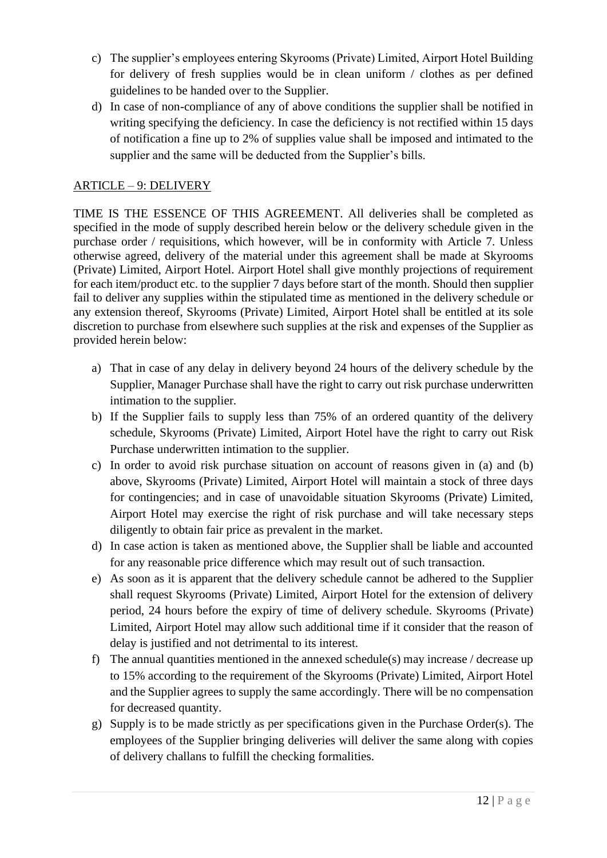- c) The supplier's employees entering Skyrooms (Private) Limited, Airport Hotel Building for delivery of fresh supplies would be in clean uniform / clothes as per defined guidelines to be handed over to the Supplier.
- d) In case of non-compliance of any of above conditions the supplier shall be notified in writing specifying the deficiency. In case the deficiency is not rectified within 15 days of notification a fine up to 2% of supplies value shall be imposed and intimated to the supplier and the same will be deducted from the Supplier's bills.

# ARTICLE – 9: DELIVERY

TIME IS THE ESSENCE OF THIS AGREEMENT. All deliveries shall be completed as specified in the mode of supply described herein below or the delivery schedule given in the purchase order / requisitions, which however, will be in conformity with Article 7. Unless otherwise agreed, delivery of the material under this agreement shall be made at Skyrooms (Private) Limited, Airport Hotel. Airport Hotel shall give monthly projections of requirement for each item/product etc. to the supplier 7 days before start of the month. Should then supplier fail to deliver any supplies within the stipulated time as mentioned in the delivery schedule or any extension thereof, Skyrooms (Private) Limited, Airport Hotel shall be entitled at its sole discretion to purchase from elsewhere such supplies at the risk and expenses of the Supplier as provided herein below:

- a) That in case of any delay in delivery beyond 24 hours of the delivery schedule by the Supplier, Manager Purchase shall have the right to carry out risk purchase underwritten intimation to the supplier.
- b) If the Supplier fails to supply less than 75% of an ordered quantity of the delivery schedule, Skyrooms (Private) Limited, Airport Hotel have the right to carry out Risk Purchase underwritten intimation to the supplier.
- c) In order to avoid risk purchase situation on account of reasons given in (a) and (b) above, Skyrooms (Private) Limited, Airport Hotel will maintain a stock of three days for contingencies; and in case of unavoidable situation Skyrooms (Private) Limited, Airport Hotel may exercise the right of risk purchase and will take necessary steps diligently to obtain fair price as prevalent in the market.
- d) In case action is taken as mentioned above, the Supplier shall be liable and accounted for any reasonable price difference which may result out of such transaction.
- e) As soon as it is apparent that the delivery schedule cannot be adhered to the Supplier shall request Skyrooms (Private) Limited, Airport Hotel for the extension of delivery period, 24 hours before the expiry of time of delivery schedule. Skyrooms (Private) Limited, Airport Hotel may allow such additional time if it consider that the reason of delay is justified and not detrimental to its interest.
- f) The annual quantities mentioned in the annexed schedule(s) may increase / decrease up to 15% according to the requirement of the Skyrooms (Private) Limited, Airport Hotel and the Supplier agrees to supply the same accordingly. There will be no compensation for decreased quantity.
- g) Supply is to be made strictly as per specifications given in the Purchase Order(s). The employees of the Supplier bringing deliveries will deliver the same along with copies of delivery challans to fulfill the checking formalities.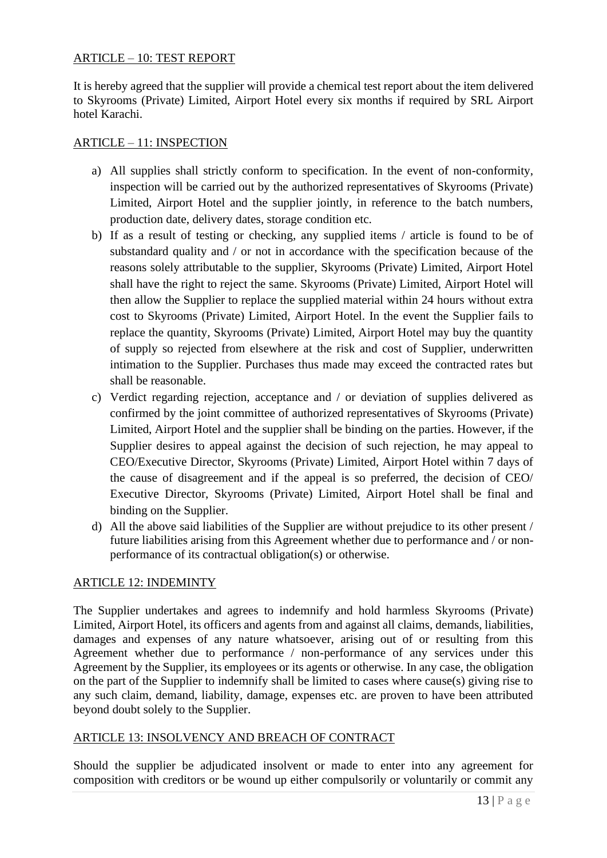## ARTICLE – 10: TEST REPORT

It is hereby agreed that the supplier will provide a chemical test report about the item delivered to Skyrooms (Private) Limited, Airport Hotel every six months if required by SRL Airport hotel Karachi.

#### ARTICLE – 11: INSPECTION

- a) All supplies shall strictly conform to specification. In the event of non-conformity, inspection will be carried out by the authorized representatives of Skyrooms (Private) Limited, Airport Hotel and the supplier jointly, in reference to the batch numbers, production date, delivery dates, storage condition etc.
- b) If as a result of testing or checking, any supplied items / article is found to be of substandard quality and / or not in accordance with the specification because of the reasons solely attributable to the supplier, Skyrooms (Private) Limited, Airport Hotel shall have the right to reject the same. Skyrooms (Private) Limited, Airport Hotel will then allow the Supplier to replace the supplied material within 24 hours without extra cost to Skyrooms (Private) Limited, Airport Hotel. In the event the Supplier fails to replace the quantity, Skyrooms (Private) Limited, Airport Hotel may buy the quantity of supply so rejected from elsewhere at the risk and cost of Supplier, underwritten intimation to the Supplier. Purchases thus made may exceed the contracted rates but shall be reasonable.
- c) Verdict regarding rejection, acceptance and / or deviation of supplies delivered as confirmed by the joint committee of authorized representatives of Skyrooms (Private) Limited, Airport Hotel and the supplier shall be binding on the parties. However, if the Supplier desires to appeal against the decision of such rejection, he may appeal to CEO/Executive Director, Skyrooms (Private) Limited, Airport Hotel within 7 days of the cause of disagreement and if the appeal is so preferred, the decision of CEO/ Executive Director, Skyrooms (Private) Limited, Airport Hotel shall be final and binding on the Supplier.
- d) All the above said liabilities of the Supplier are without prejudice to its other present / future liabilities arising from this Agreement whether due to performance and / or nonperformance of its contractual obligation(s) or otherwise.

## ARTICLE 12: INDEMINTY

The Supplier undertakes and agrees to indemnify and hold harmless Skyrooms (Private) Limited, Airport Hotel, its officers and agents from and against all claims, demands, liabilities, damages and expenses of any nature whatsoever, arising out of or resulting from this Agreement whether due to performance / non-performance of any services under this Agreement by the Supplier, its employees or its agents or otherwise. In any case, the obligation on the part of the Supplier to indemnify shall be limited to cases where cause(s) giving rise to any such claim, demand, liability, damage, expenses etc. are proven to have been attributed beyond doubt solely to the Supplier.

## ARTICLE 13: INSOLVENCY AND BREACH OF CONTRACT

Should the supplier be adjudicated insolvent or made to enter into any agreement for composition with creditors or be wound up either compulsorily or voluntarily or commit any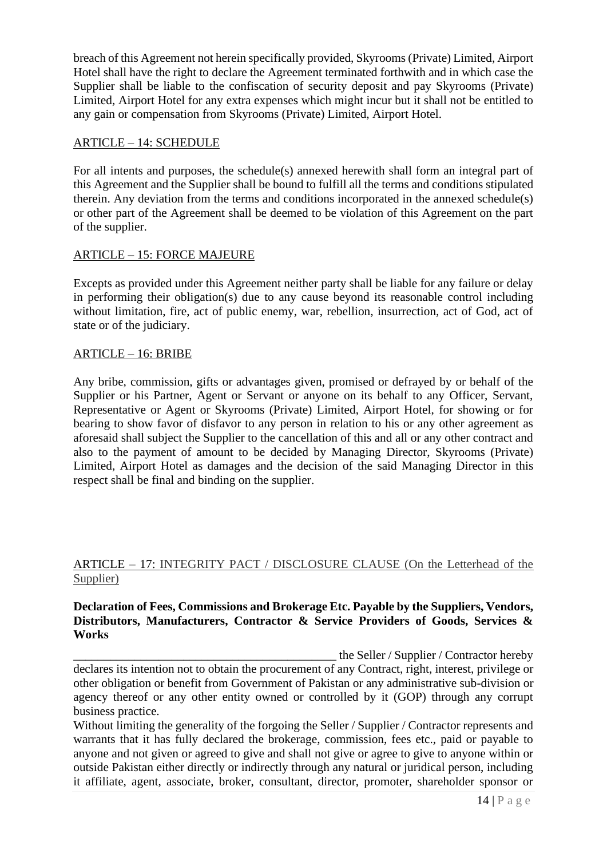breach of this Agreement not herein specifically provided, Skyrooms (Private) Limited, Airport Hotel shall have the right to declare the Agreement terminated forthwith and in which case the Supplier shall be liable to the confiscation of security deposit and pay Skyrooms (Private) Limited, Airport Hotel for any extra expenses which might incur but it shall not be entitled to any gain or compensation from Skyrooms (Private) Limited, Airport Hotel.

#### ARTICLE – 14: SCHEDULE

For all intents and purposes, the schedule(s) annexed herewith shall form an integral part of this Agreement and the Supplier shall be bound to fulfill all the terms and conditions stipulated therein. Any deviation from the terms and conditions incorporated in the annexed schedule(s) or other part of the Agreement shall be deemed to be violation of this Agreement on the part of the supplier.

## ARTICLE – 15: FORCE MAJEURE

Excepts as provided under this Agreement neither party shall be liable for any failure or delay in performing their obligation(s) due to any cause beyond its reasonable control including without limitation, fire, act of public enemy, war, rebellion, insurrection, act of God, act of state or of the judiciary.

#### ARTICLE – 16: BRIBE

Any bribe, commission, gifts or advantages given, promised or defrayed by or behalf of the Supplier or his Partner, Agent or Servant or anyone on its behalf to any Officer, Servant, Representative or Agent or Skyrooms (Private) Limited, Airport Hotel, for showing or for bearing to show favor of disfavor to any person in relation to his or any other agreement as aforesaid shall subject the Supplier to the cancellation of this and all or any other contract and also to the payment of amount to be decided by Managing Director, Skyrooms (Private) Limited, Airport Hotel as damages and the decision of the said Managing Director in this respect shall be final and binding on the supplier.

## ARTICLE – 17: INTEGRITY PACT / DISCLOSURE CLAUSE (On the Letterhead of the Supplier)

#### **Declaration of Fees, Commissions and Brokerage Etc. Payable by the Suppliers, Vendors, Distributors, Manufacturers, Contractor & Service Providers of Goods, Services & Works**

the Seller / Supplier / Contractor hereby

declares its intention not to obtain the procurement of any Contract, right, interest, privilege or other obligation or benefit from Government of Pakistan or any administrative sub-division or agency thereof or any other entity owned or controlled by it (GOP) through any corrupt business practice.

Without limiting the generality of the forgoing the Seller / Supplier / Contractor represents and warrants that it has fully declared the brokerage, commission, fees etc., paid or payable to anyone and not given or agreed to give and shall not give or agree to give to anyone within or outside Pakistan either directly or indirectly through any natural or juridical person, including it affiliate, agent, associate, broker, consultant, director, promoter, shareholder sponsor or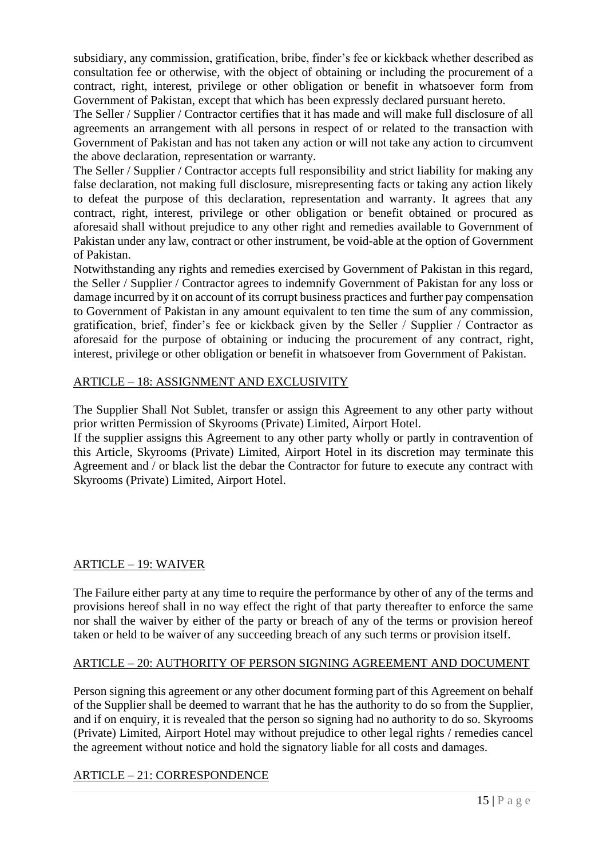subsidiary, any commission, gratification, bribe, finder's fee or kickback whether described as consultation fee or otherwise, with the object of obtaining or including the procurement of a contract, right, interest, privilege or other obligation or benefit in whatsoever form from Government of Pakistan, except that which has been expressly declared pursuant hereto.

The Seller / Supplier / Contractor certifies that it has made and will make full disclosure of all agreements an arrangement with all persons in respect of or related to the transaction with Government of Pakistan and has not taken any action or will not take any action to circumvent the above declaration, representation or warranty.

The Seller / Supplier / Contractor accepts full responsibility and strict liability for making any false declaration, not making full disclosure, misrepresenting facts or taking any action likely to defeat the purpose of this declaration, representation and warranty. It agrees that any contract, right, interest, privilege or other obligation or benefit obtained or procured as aforesaid shall without prejudice to any other right and remedies available to Government of Pakistan under any law, contract or other instrument, be void-able at the option of Government of Pakistan.

Notwithstanding any rights and remedies exercised by Government of Pakistan in this regard, the Seller / Supplier / Contractor agrees to indemnify Government of Pakistan for any loss or damage incurred by it on account of its corrupt business practices and further pay compensation to Government of Pakistan in any amount equivalent to ten time the sum of any commission, gratification, brief, finder's fee or kickback given by the Seller / Supplier / Contractor as aforesaid for the purpose of obtaining or inducing the procurement of any contract, right, interest, privilege or other obligation or benefit in whatsoever from Government of Pakistan.

## ARTICLE – 18: ASSIGNMENT AND EXCLUSIVITY

The Supplier Shall Not Sublet, transfer or assign this Agreement to any other party without prior written Permission of Skyrooms (Private) Limited, Airport Hotel.

If the supplier assigns this Agreement to any other party wholly or partly in contravention of this Article, Skyrooms (Private) Limited, Airport Hotel in its discretion may terminate this Agreement and / or black list the debar the Contractor for future to execute any contract with Skyrooms (Private) Limited, Airport Hotel.

# ARTICLE – 19: WAIVER

The Failure either party at any time to require the performance by other of any of the terms and provisions hereof shall in no way effect the right of that party thereafter to enforce the same nor shall the waiver by either of the party or breach of any of the terms or provision hereof taken or held to be waiver of any succeeding breach of any such terms or provision itself.

## ARTICLE – 20: AUTHORITY OF PERSON SIGNING AGREEMENT AND DOCUMENT

Person signing this agreement or any other document forming part of this Agreement on behalf of the Supplier shall be deemed to warrant that he has the authority to do so from the Supplier, and if on enquiry, it is revealed that the person so signing had no authority to do so. Skyrooms (Private) Limited, Airport Hotel may without prejudice to other legal rights / remedies cancel the agreement without notice and hold the signatory liable for all costs and damages.

# ARTICLE – 21: CORRESPONDENCE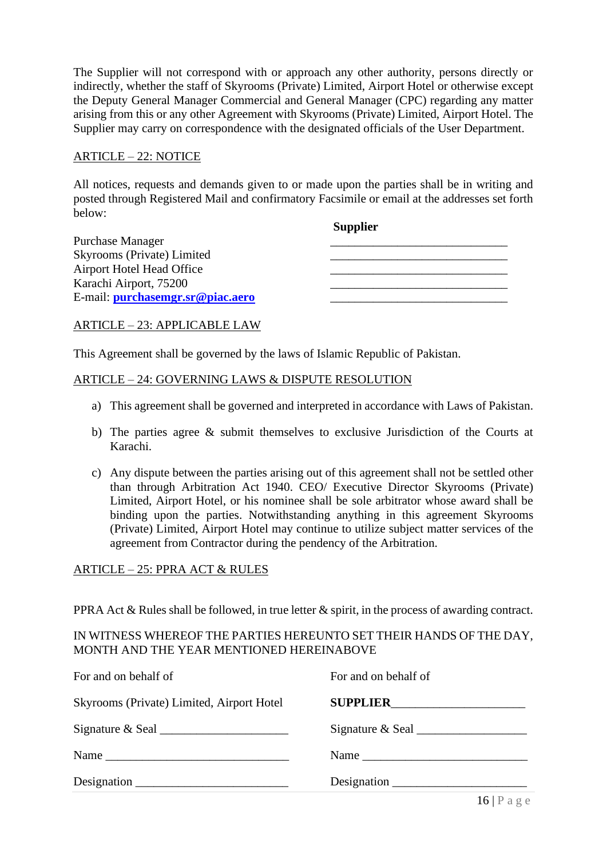The Supplier will not correspond with or approach any other authority, persons directly or indirectly, whether the staff of Skyrooms (Private) Limited, Airport Hotel or otherwise except the Deputy General Manager Commercial and General Manager (CPC) regarding any matter arising from this or any other Agreement with Skyrooms (Private) Limited, Airport Hotel. The Supplier may carry on correspondence with the designated officials of the User Department.

#### ARTICLE – 22: NOTICE

All notices, requests and demands given to or made upon the parties shall be in writing and posted through Registered Mail and confirmatory Facsimile or email at the addresses set forth below:

**Supplier**

| Purchase Manager                 |  |
|----------------------------------|--|
| Skyrooms (Private) Limited       |  |
| Airport Hotel Head Office        |  |
| Karachi Airport, 75200           |  |
| E-mail: purchasemgr.sr@piac.aero |  |

#### ARTICLE – 23: APPLICABLE LAW

This Agreement shall be governed by the laws of Islamic Republic of Pakistan.

#### ARTICLE – 24: GOVERNING LAWS & DISPUTE RESOLUTION

- a) This agreement shall be governed and interpreted in accordance with Laws of Pakistan.
- b) The parties agree & submit themselves to exclusive Jurisdiction of the Courts at Karachi.
- c) Any dispute between the parties arising out of this agreement shall not be settled other than through Arbitration Act 1940. CEO/ Executive Director Skyrooms (Private) Limited, Airport Hotel, or his nominee shall be sole arbitrator whose award shall be binding upon the parties. Notwithstanding anything in this agreement Skyrooms (Private) Limited, Airport Hotel may continue to utilize subject matter services of the agreement from Contractor during the pendency of the Arbitration.

#### ARTICLE – 25: PPRA ACT & RULES

PPRA Act & Rules shall be followed, in true letter & spirit, in the process of awarding contract.

#### IN WITNESS WHEREOF THE PARTIES HEREUNTO SET THEIR HANDS OF THE DAY, MONTH AND THE YEAR MENTIONED HEREINABOVE

| For and on behalf of                      | For and on behalf of                                           |
|-------------------------------------------|----------------------------------------------------------------|
| Skyrooms (Private) Limited, Airport Hotel |                                                                |
|                                           | Signature & Seal                                               |
|                                           |                                                                |
| Designation                               | Designation $\frac{1}{\sqrt{1-\frac{1}{2}} \cdot \frac{1}{2}}$ |
|                                           |                                                                |